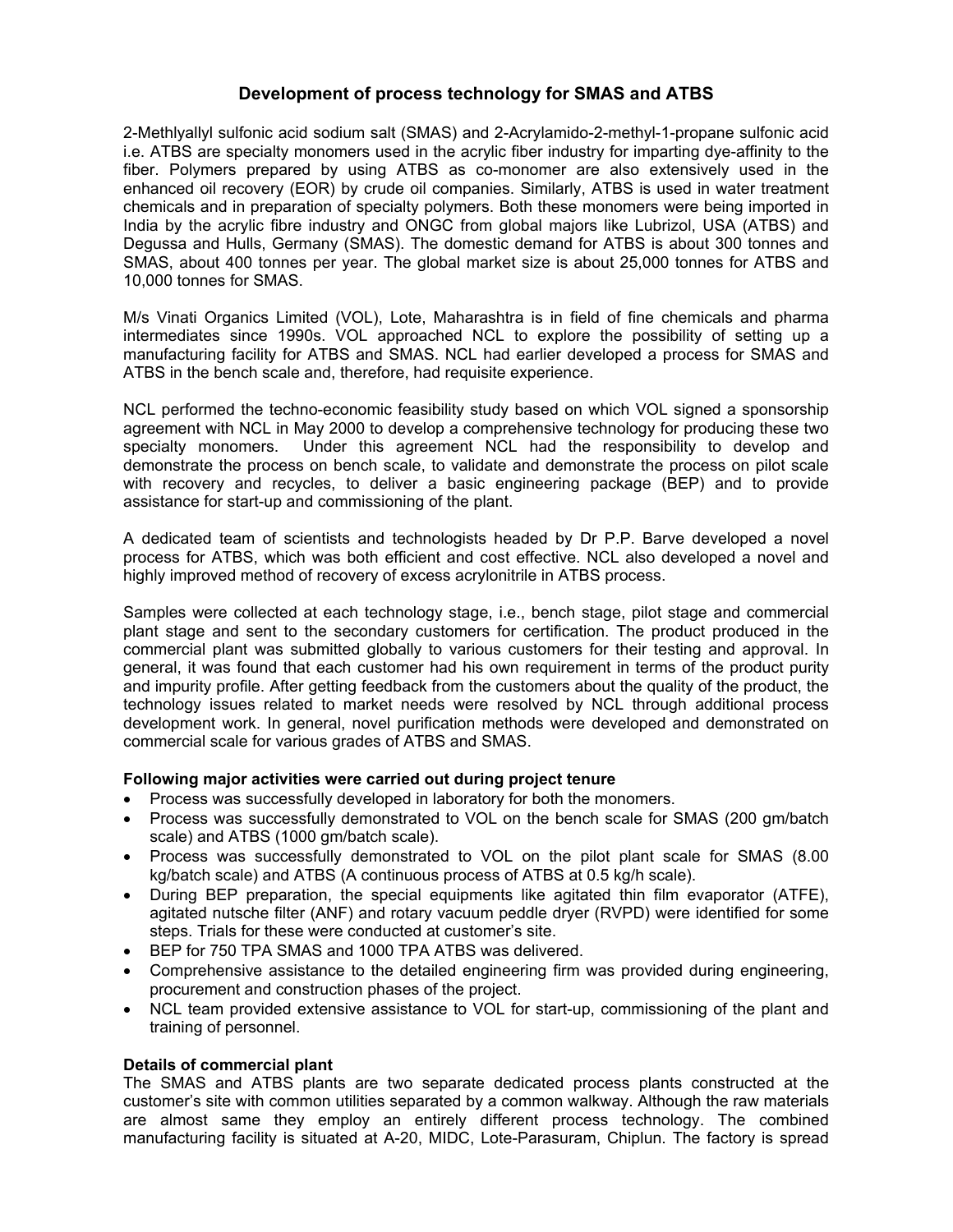## **Development of process technology for SMAS and ATBS**

2-Methlyallyl sulfonic acid sodium salt (SMAS) and 2-Acrylamido-2-methyl-1-propane sulfonic acid i.e. ATBS are specialty monomers used in the acrylic fiber industry for imparting dye-affinity to the fiber. Polymers prepared by using ATBS as co-monomer are also extensively used in the enhanced oil recovery (EOR) by crude oil companies. Similarly, ATBS is used in water treatment chemicals and in preparation of specialty polymers. Both these monomers were being imported in India by the acrylic fibre industry and ONGC from global majors like Lubrizol, USA (ATBS) and Degussa and Hulls, Germany (SMAS). The domestic demand for ATBS is about 300 tonnes and SMAS, about 400 tonnes per year. The global market size is about 25,000 tonnes for ATBS and 10,000 tonnes for SMAS.

M/s Vinati Organics Limited (VOL), Lote, Maharashtra is in field of fine chemicals and pharma intermediates since 1990s. VOL approached NCL to explore the possibility of setting up a manufacturing facility for ATBS and SMAS. NCL had earlier developed a process for SMAS and ATBS in the bench scale and, therefore, had requisite experience.

NCL performed the techno-economic feasibility study based on which VOL signed a sponsorship agreement with NCL in May 2000 to develop a comprehensive technology for producing these two specialty monomers. Under this agreement NCL had the responsibility to develop and demonstrate the process on bench scale, to validate and demonstrate the process on pilot scale with recovery and recycles, to deliver a basic engineering package (BEP) and to provide assistance for start-up and commissioning of the plant.

A dedicated team of scientists and technologists headed by Dr P.P. Barve developed a novel process for ATBS, which was both efficient and cost effective. NCL also developed a novel and highly improved method of recovery of excess acrylonitrile in ATBS process.

Samples were collected at each technology stage, i.e., bench stage, pilot stage and commercial plant stage and sent to the secondary customers for certification. The product produced in the commercial plant was submitted globally to various customers for their testing and approval. In general, it was found that each customer had his own requirement in terms of the product purity and impurity profile. After getting feedback from the customers about the quality of the product, the technology issues related to market needs were resolved by NCL through additional process development work. In general, novel purification methods were developed and demonstrated on commercial scale for various grades of ATBS and SMAS.

## **Following major activities were carried out during project tenure**

- Process was successfully developed in laboratory for both the monomers.
- Process was successfully demonstrated to VOL on the bench scale for SMAS (200 gm/batch scale) and ATBS (1000 gm/batch scale).
- Process was successfully demonstrated to VOL on the pilot plant scale for SMAS (8.00 kg/batch scale) and ATBS (A continuous process of ATBS at 0.5 kg/h scale).
- During BEP preparation, the special equipments like agitated thin film evaporator (ATFE), agitated nutsche filter (ANF) and rotary vacuum peddle dryer (RVPD) were identified for some steps. Trials for these were conducted at customer's site.
- BEP for 750 TPA SMAS and 1000 TPA ATBS was delivered.
- Comprehensive assistance to the detailed engineering firm was provided during engineering, procurement and construction phases of the project.
- NCL team provided extensive assistance to VOL for start-up, commissioning of the plant and training of personnel.

## **Details of commercial plant**

The SMAS and ATBS plants are two separate dedicated process plants constructed at the customer's site with common utilities separated by a common walkway. Although the raw materials are almost same they employ an entirely different process technology. The combined manufacturing facility is situated at A-20, MIDC, Lote-Parasuram, Chiplun. The factory is spread